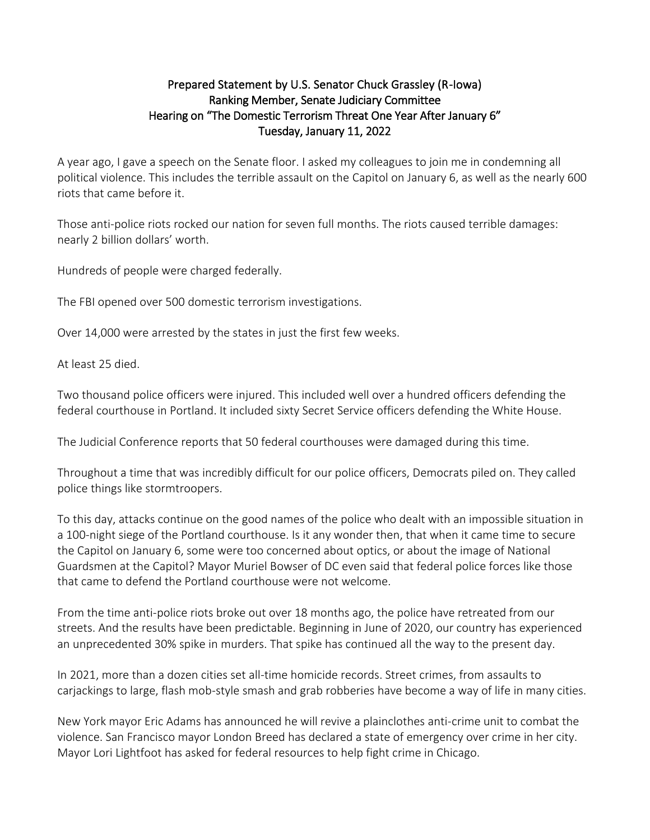## Prepared Statement by U.S. Senator Chuck Grassley (R-Iowa) Ranking Member, Senate Judiciary Committee Hearing on "The Domestic Terrorism Threat One Year After January 6" Tuesday, January 11, 2022

A year ago, I gave a speech on the Senate floor. I asked my colleagues to join me in condemning all political violence. This includes the terrible assault on the Capitol on January 6, as well as the nearly 600 riots that came before it.

Those anti-police riots rocked our nation for seven full months. The riots caused terrible damages: nearly 2 billion dollars' worth.

Hundreds of people were charged federally.

The FBI opened over 500 domestic terrorism investigations.

Over 14,000 were arrested by the states in just the first few weeks.

At least 25 died.

Two thousand police officers were injured. This included well over a hundred officers defending the federal courthouse in Portland. It included sixty Secret Service officers defending the White House.

The Judicial Conference reports that 50 federal courthouses were damaged during this time.

Throughout a time that was incredibly difficult for our police officers, Democrats piled on. They called police things like stormtroopers.

To this day, attacks continue on the good names of the police who dealt with an impossible situation in a 100-night siege of the Portland courthouse. Is it any wonder then, that when it came time to secure the Capitol on January 6, some were too concerned about optics, or about the image of National Guardsmen at the Capitol? Mayor Muriel Bowser of DC even said that federal police forces like those that came to defend the Portland courthouse were not welcome.

From the time anti-police riots broke out over 18 months ago, the police have retreated from our streets. And the results have been predictable. Beginning in June of 2020, our country has experienced an unprecedented 30% spike in murders. That spike has continued all the way to the present day.

In 2021, more than a dozen cities set all-time homicide records. Street crimes, from assaults to carjackings to large, flash mob-style smash and grab robberies have become a way of life in many cities.

New York mayor Eric Adams has announced he will revive a plainclothes anti-crime unit to combat the violence. San Francisco mayor London Breed has declared a state of emergency over crime in her city. Mayor Lori Lightfoot has asked for federal resources to help fight crime in Chicago.